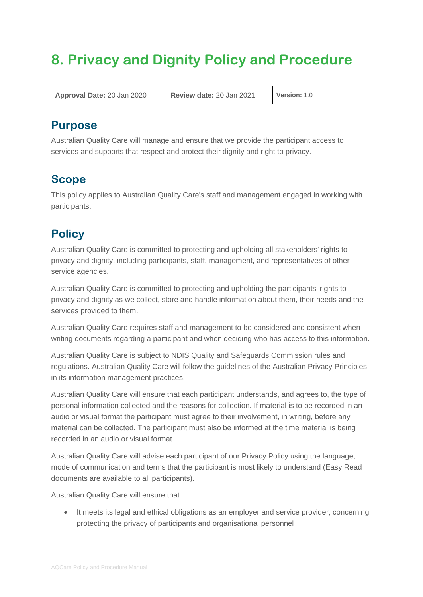# **8. Privacy and Dignity Policy and Procedure**

**Approval Date:** 20 Jan 2020 **Review date:** 20 Jan 2021 **Version:** 1.0

# **Purpose**

Australian Quality Care will manage and ensure that we provide the participant access to services and supports that respect and protect their dignity and right to privacy.

# **Scope**

This policy applies to Australian Quality Care's staff and management engaged in working with participants.

# **Policy**

Australian Quality Care is committed to protecting and upholding all stakeholders' rights to privacy and dignity, including participants, staff, management, and representatives of other service agencies.

Australian Quality Care is committed to protecting and upholding the participants' rights to privacy and dignity as we collect, store and handle information about them, their needs and the services provided to them.

Australian Quality Care requires staff and management to be considered and consistent when writing documents regarding a participant and when deciding who has access to this information.

Australian Quality Care is subject to NDIS Quality and Safeguards Commission rules and regulations. Australian Quality Care will follow the guidelines of the Australian Privacy Principles in its information management practices.

Australian Quality Care will ensure that each participant understands, and agrees to, the type of personal information collected and the reasons for collection. If material is to be recorded in an audio or visual format the participant must agree to their involvement, in writing, before any material can be collected. The participant must also be informed at the time material is being recorded in an audio or visual format.

Australian Quality Care will advise each participant of our Privacy Policy using the language, mode of communication and terms that the participant is most likely to understand (Easy Read documents are available to all participants).

Australian Quality Care will ensure that:

• It meets its legal and ethical obligations as an employer and service provider, concerning protecting the privacy of participants and organisational personnel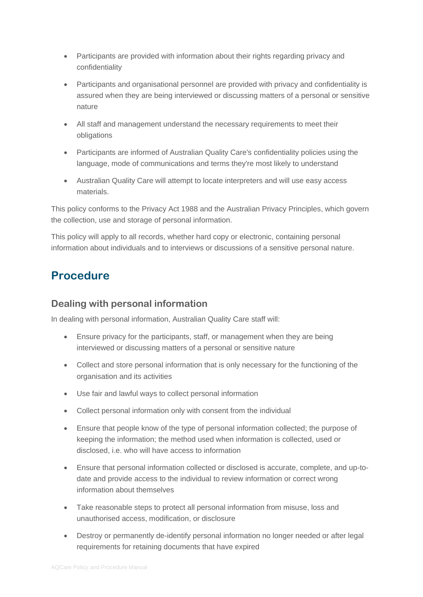- Participants are provided with information about their rights regarding privacy and confidentiality
- Participants and organisational personnel are provided with privacy and confidentiality is assured when they are being interviewed or discussing matters of a personal or sensitive nature
- All staff and management understand the necessary requirements to meet their obligations
- Participants are informed of Australian Quality Care's confidentiality policies using the language, mode of communications and terms they're most likely to understand
- Australian Quality Care will attempt to locate interpreters and will use easy access materials.

This policy conforms to the Privacy Act 1988 and the Australian Privacy Principles, which govern the collection, use and storage of personal information.

This policy will apply to all records, whether hard copy or electronic, containing personal information about individuals and to interviews or discussions of a sensitive personal nature.

# **Procedure**

#### **Dealing with personal information**

In dealing with personal information, Australian Quality Care staff will:

- Ensure privacy for the participants, staff, or management when they are being interviewed or discussing matters of a personal or sensitive nature
- Collect and store personal information that is only necessary for the functioning of the organisation and its activities
- Use fair and lawful ways to collect personal information
- Collect personal information only with consent from the individual
- Ensure that people know of the type of personal information collected; the purpose of keeping the information; the method used when information is collected, used or disclosed, i.e. who will have access to information
- Ensure that personal information collected or disclosed is accurate, complete, and up-todate and provide access to the individual to review information or correct wrong information about themselves
- Take reasonable steps to protect all personal information from misuse, loss and unauthorised access, modification, or disclosure
- Destroy or permanently de-identify personal information no longer needed or after legal requirements for retaining documents that have expired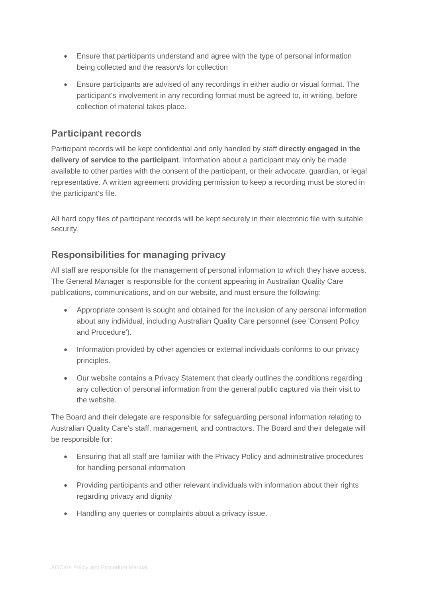- Ensure that participants understand and agree with the type of personal information being collected and the reason/s for collection
- Ensure participants are advised of any recordings in either audio or visual format. The participant's involvement in any recording format must be agreed to, in writing, before collection of material takes place.

#### **Participant records**

Participant records will be kept confidential and only handled by staff **directly engaged in the delivery of service to the participant**. Information about a participant may only be made available to other parties with the consent of the participant, or their advocate, guardian, or legal representative. A written agreement providing permission to keep a recording must be stored in the participant's file.

All hard copy files of participant records will be kept securely in their electronic file with suitable security.

#### **Responsibilities for managing privacy**

All staff are responsible for the management of personal information to which they have access. The General Manager is responsible for the content appearing in Australian Quality Care publications, communications, and on our website, and must ensure the following:

- Appropriate consent is sought and obtained for the inclusion of any personal information about any individual, including Australian Quality Care personnel (see 'Consent Policy and Procedure').
- Information provided by other agencies or external individuals conforms to our privacy principles.
- Our website contains a Privacy Statement that clearly outlines the conditions regarding any collection of personal information from the general public captured via their visit to the website.

The Board and their delegate are responsible for safeguarding personal information relating to Australian Quality Care's staff, management, and contractors. The Board and their delegate will be responsible for:

- Ensuring that all staff are familiar with the Privacy Policy and administrative procedures for handling personal information
- Providing participants and other relevant individuals with information about their rights regarding privacy and dignity
- Handling any queries or complaints about a privacy issue.